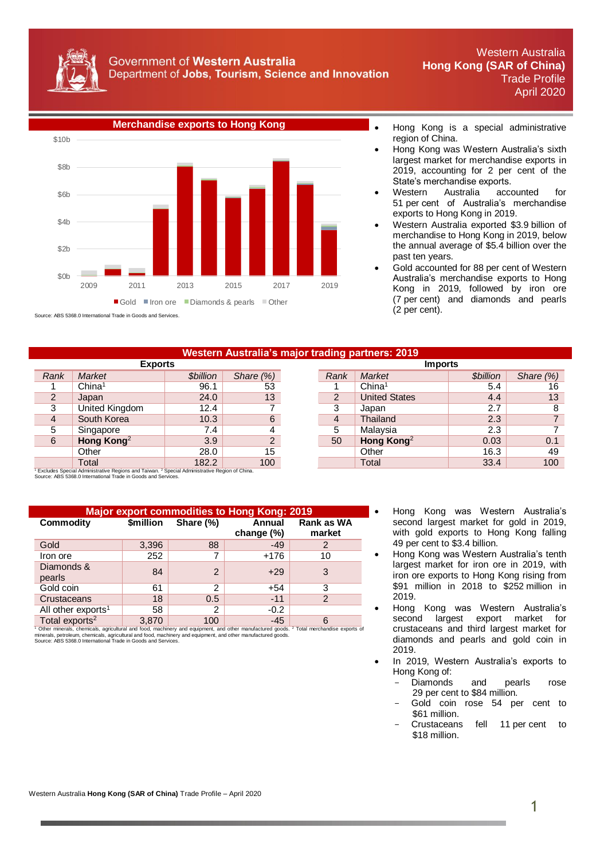



Source: ABS 5368.0 International Trade in Goods and Services.

- region of China.
- Hong Kong was Western Australia's sixth largest market for merchandise exports in 2019, accounting for 2 per cent of the State's merchandise exports.
- Western Australia accounted for 51 per cent of Australia's merchandise exports to Hong Kong in 2019.
- Western Australia exported \$3.9 billion of merchandise to Hong Kong in 2019, below the annual average of \$5.4 billion over the past ten years.
- Gold accounted for 88 per cent of Western Australia's merchandise exports to Hong Kong in 2019, followed by iron ore (7 per cent) and diamonds and pearls (2 per cent).

## **Western Australia's major trading partners: 2019**

| LADUI LƏ       |                        |                        |               | וטטוווו |                        |                 |                 |  |
|----------------|------------------------|------------------------|---------------|---------|------------------------|-----------------|-----------------|--|
| Rank           | <b>Market</b>          | <b><i>Sbillion</i></b> | Share $(\%)$  | Rank    | <b>Market</b>          | <b>Sbillion</b> | Share (%)       |  |
|                | China <sup>1</sup>     | 96.1                   | 53            |         | China <sup>1</sup>     | 5.4             | 16              |  |
| $\overline{2}$ | Japan                  | 24.0                   | 13            | 2       | <b>United States</b>   | 4.4             | 13              |  |
| 3              | United Kingdom         | 12.4                   |               | ◠       | Japan                  | 2.7             |                 |  |
| $\overline{4}$ | South Korea            | 10.3                   | 6             | 4       | Thailand               | 2.3             |                 |  |
| 5              | Singapore              | 7.4                    |               | 5       | Malaysia               | 2.3             |                 |  |
| 6              | Hong Kong <sup>2</sup> | 3.9                    | $\mathcal{P}$ | 50      | Hong Kong <sup>2</sup> | 0.03            | 0.1             |  |
|                | Other                  | 28.0                   | 15            |         | Other                  | 16.3            | 49              |  |
|                | Total                  | 182.2                  | 100           |         | Total                  | 33.4            | 10 <sub>C</sub> |  |

|                | <b>Exports</b>                                                                                     |                         |                  |  |      | <b>Imports</b>         |                         |           |
|----------------|----------------------------------------------------------------------------------------------------|-------------------------|------------------|--|------|------------------------|-------------------------|-----------|
| ank            | Market                                                                                             | <i><b>\$billion</b></i> | Share $(\%)$     |  | Rank | Market                 | <i><b>\$billion</b></i> | Share (%) |
|                | China <sup>1</sup>                                                                                 | 96.1                    | 53               |  |      | China <sup>1</sup>     | 5.4                     | 16        |
| $\overline{c}$ | Japan                                                                                              | 24.0                    | 13               |  | ◠    | <b>United States</b>   | 4.4                     | 13        |
| 3              | United Kingdom                                                                                     | 12.4                    |                  |  | 3    | Japan                  | 2.7                     |           |
| 4              | South Korea                                                                                        | 10.3                    | 6                |  | 4    | Thailand               | 2.3                     |           |
| 5              | Singapore                                                                                          | 7.4                     |                  |  | 5    | Malaysia               | 2.3                     |           |
| 6              | Hong Kong <sup>2</sup>                                                                             | 3.9                     | $\overline{2}$   |  | 50   | Hong Kong <sup>2</sup> | 0.03                    | 0.1       |
|                | Other                                                                                              | 28.0                    | 15               |  |      | Other                  | 16.3                    | 49        |
|                | Total                                                                                              | 182.2                   | 100 <sub>1</sub> |  |      | Total                  | 33.4                    | 100       |
|                | des Special Administrative Regions and Taiwan. <sup>2</sup> Special Administrative Region of China |                         |                  |  |      |                        |                         |           |

<sup>1</sup> Excludes Special Administrative Regions and Taiwan. <sup>2</sup> Special Administrative Region of China.<br>Source: ABS 5368.0 International Trade in Goods and Services.

| <b>Major export commodities to Hong Kong: 2019</b> |           |                |                      |                      |  |  |  |
|----------------------------------------------------|-----------|----------------|----------------------|----------------------|--|--|--|
| Commodity                                          | \$million | Share (%)      | Annual<br>change (%) | Rank as WA<br>market |  |  |  |
| Gold                                               | 3,396     | 88             | $-49$                |                      |  |  |  |
| Iron ore                                           | 252       |                | $+176$               | 10                   |  |  |  |
| Diamonds &<br>pearls                               | 84        | $\overline{2}$ | $+29$                |                      |  |  |  |
| Gold coin                                          | 61        | 2              | $+54$                | 3                    |  |  |  |
| Crustaceans                                        | 18        | $0.5^{\circ}$  | $-11$                | 2                    |  |  |  |
| All other exports <sup>1</sup>                     | 58        | 2              | $-0.2$               |                      |  |  |  |
| Total exports <sup>2</sup>                         | 3,870     | 100            | $-45$                |                      |  |  |  |

Total exports<sup>2</sup> 3,870 100 -45 6<br><sup>1</sup> Other minerals, chemicals, agricultural and food, machinery and equipment, and other manufactured goods. <sup>2</sup> Total merchandise exports of<br>minerals, petroleum, chemicals, agricultural an

- Hong Kong was Western Australia's second largest market for gold in 2019, with gold exports to Hong Kong falling 49 per cent to \$3.4 billion.
- Hong Kong was Western Australia's tenth largest market for iron ore in 2019, with iron ore exports to Hong Kong rising from \$91 million in 2018 to \$252 million in 2019.
- Hong Kong was Western Australia's second largest export market for crustaceans and third largest market for diamonds and pearls and gold coin in 2019.
- In 2019, Western Australia's exports to Hong Kong of:
	- Diamonds and pearls rose 29 per cent to \$84 million.
	- Gold coin rose 54 per cent to \$61 million.
	- Crustaceans fell 11 per cent to \$18 million.

Western Australia **Hong Kong (SAR of China)** Trade Profile – April 2020